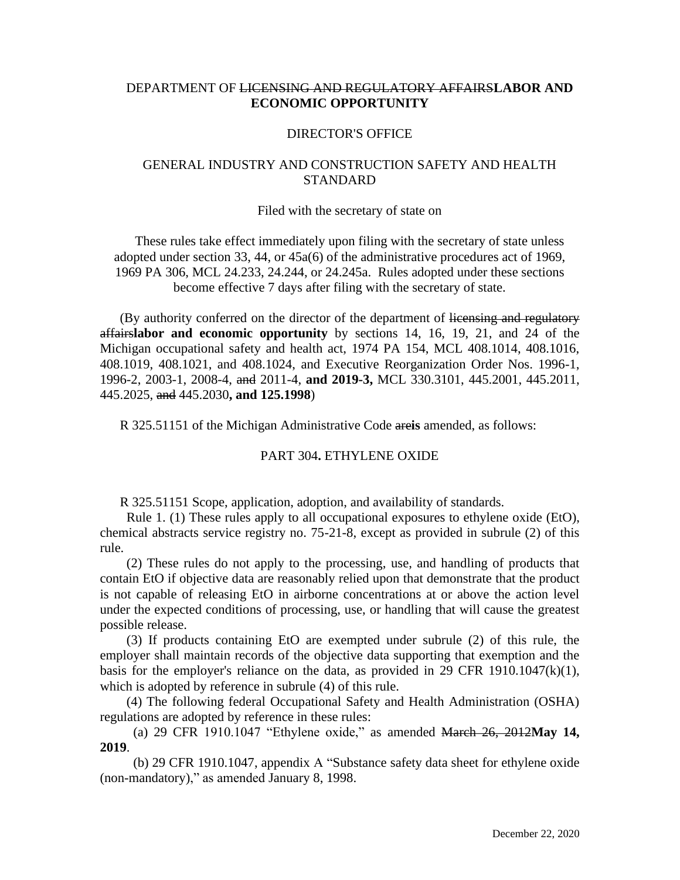# DEPARTMENT OF LICENSING AND REGULATORY AFFAIRS**LABOR AND ECONOMIC OPPORTUNITY**

### DIRECTOR'S OFFICE

# GENERAL INDUSTRY AND CONSTRUCTION SAFETY AND HEALTH **STANDARD**

#### Filed with the secretary of state on

These rules take effect immediately upon filing with the secretary of state unless adopted under section 33, 44, or 45a(6) of the administrative procedures act of 1969, 1969 PA 306, MCL 24.233, 24.244, or 24.245a. Rules adopted under these sections become effective 7 days after filing with the secretary of state.

(By authority conferred on the director of the department of licensing and regulatory affairs**labor and economic opportunity** by sections 14, 16, 19, 21, and 24 of the Michigan occupational safety and health act, 1974 PA 154, MCL 408.1014, 408.1016, 408.1019, 408.1021, and 408.1024, and Executive Reorganization Order Nos. 1996-1, 1996-2, 2003-1, 2008-4, and 2011-4, **and 2019-3,** MCL 330.3101, 445.2001, 445.2011, 445.2025, and 445.2030**, and 125.1998**)

R 325.51151 of the Michigan Administrative Code are**is** amended, as follows:

#### PART 304**.** ETHYLENE OXIDE

R 325.51151 Scope, application, adoption, and availability of standards.

 Rule 1. (1) These rules apply to all occupational exposures to ethylene oxide (EtO), chemical abstracts service registry no. 75-21-8, except as provided in subrule (2) of this rule.

 (2) These rules do not apply to the processing, use, and handling of products that contain EtO if objective data are reasonably relied upon that demonstrate that the product is not capable of releasing EtO in airborne concentrations at or above the action level under the expected conditions of processing, use, or handling that will cause the greatest possible release.

 (3) If products containing EtO are exempted under subrule (2) of this rule, the employer shall maintain records of the objective data supporting that exemption and the basis for the employer's reliance on the data, as provided in 29 CFR 1910.1047 $(k)(1)$ , which is adopted by reference in subrule (4) of this rule.

 (4) The following federal Occupational Safety and Health Administration (OSHA) regulations are adopted by reference in these rules:

 (a) 29 CFR 1910.1047 "Ethylene oxide," as amended March 26, 2012**May 14, 2019**.

 (b) 29 CFR 1910.1047, appendix A "Substance safety data sheet for ethylene oxide (non-mandatory)," as amended January 8, 1998.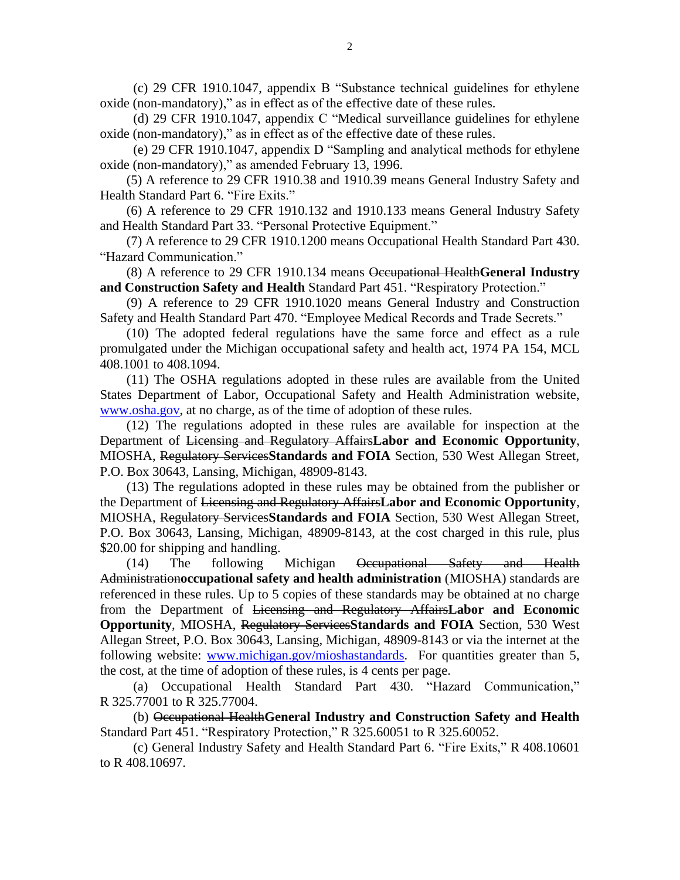(c) 29 CFR 1910.1047, appendix B "Substance technical guidelines for ethylene oxide (non-mandatory)," as in effect as of the effective date of these rules.

 (d) 29 CFR 1910.1047, appendix C "Medical surveillance guidelines for ethylene oxide (non-mandatory)," as in effect as of the effective date of these rules.

 (e) 29 CFR 1910.1047, appendix D "Sampling and analytical methods for ethylene oxide (non-mandatory)," as amended February 13, 1996.

 (5) A reference to 29 CFR 1910.38 and 1910.39 means General Industry Safety and Health Standard Part 6. "Fire Exits."

 (6) A reference to 29 CFR 1910.132 and 1910.133 means General Industry Safety and Health Standard Part 33. "Personal Protective Equipment."

(7) A reference to 29 CFR 1910.1200 means Occupational Health Standard Part 430. "Hazard Communication."

 (8) A reference to 29 CFR 1910.134 means Occupational Health**General Industry and Construction Safety and Health** Standard Part 451. "Respiratory Protection."

 (9) A reference to 29 CFR 1910.1020 means General Industry and Construction Safety and Health Standard Part 470. "Employee Medical Records and Trade Secrets."

 (10) The adopted federal regulations have the same force and effect as a rule promulgated under the Michigan occupational safety and health act, 1974 PA 154, MCL 408.1001 to 408.1094.

 (11) The OSHA regulations adopted in these rules are available from the United States Department of Labor, Occupational Safety and Health Administration website, www.osha.gov, at no charge, as of the time of adoption of these rules.

 (12) The regulations adopted in these rules are available for inspection at the Department of Licensing and Regulatory Affairs**Labor and Economic Opportunity**, MIOSHA, Regulatory Services**Standards and FOIA** Section, 530 West Allegan Street, P.O. Box 30643, Lansing, Michigan, 48909-8143.

 (13) The regulations adopted in these rules may be obtained from the publisher or the Department of Licensing and Regulatory Affairs**Labor and Economic Opportunity**, MIOSHA, Regulatory Services**Standards and FOIA** Section, 530 West Allegan Street, P.O. Box 30643, Lansing, Michigan, 48909-8143, at the cost charged in this rule, plus \$20.00 for shipping and handling.

 (14) The following Michigan Occupational Safety and Health Administration**occupational safety and health administration** (MIOSHA) standards are referenced in these rules. Up to 5 copies of these standards may be obtained at no charge from the Department of Licensing and Regulatory Affairs**Labor and Economic Opportunity**, MIOSHA, Regulatory Services**Standards and FOIA** Section, 530 West Allegan Street, P.O. Box 30643, Lansing, Michigan, 48909-8143 or via the internet at the following website: [www.michigan.gov/mioshastandards.](http://www.michigan.gov/mioshastandards) For quantities greater than 5, the cost, at the time of adoption of these rules, is 4 cents per page.

 (a) Occupational Health Standard Part 430. "Hazard Communication," R 325.77001 to R 325.77004.

 (b) Occupational Health**General Industry and Construction Safety and Health** Standard Part 451. "Respiratory Protection," R 325.60051 to R 325.60052.

 (c) General Industry Safety and Health Standard Part 6. "Fire Exits," R 408.10601 to R 408.10697.